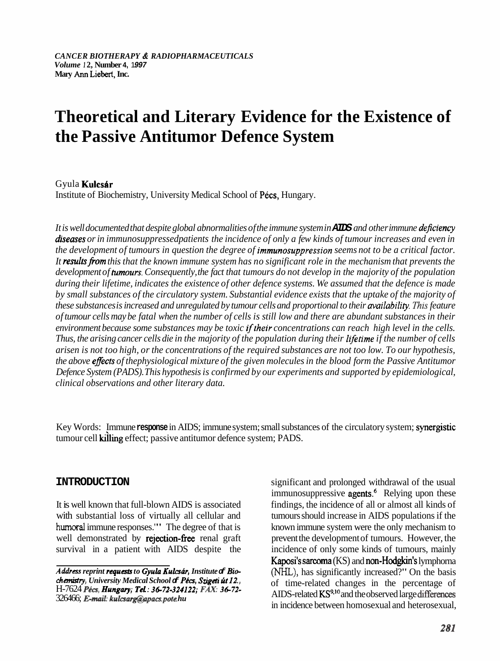# **Theoretical and Literary Evidence for the Existence of the Passive Antitumor Defence System**

## Gyula Kulcsár

Institute of Biochemistry, University Medical School of Pécs, Hungary.

*It is well documented that despite global abnormalities of the immune system in* **AIDS** *and other immune dejciency*  diseases or in immunosuppressedpatients the incidence of only a few kinds of tumour increases and even in *the development of tumours in question the degree of immunosuppression seems not to be a critical factor.*  It results from this that the known immune system has no significant role in the mechanism that prevents the *development of tumours. Consequently, the fact that tumours do not develop in the majority of the population during their lifetime, indicates the existence of other defence systems. We assumed that the defence is made by small substances of the circulatory system. Substantial evidence exists that the uptake of the majority of these substances is increased and unregulated by tumour cells and proportional to their availabiliry. This feature of tumour cells may be fatal when the number of cells is still low and there are abundant substances in their*  environment because some substances may be toxic if their concentrations can reach high level in the cells. *Thus, the arising cancer cells die in the majority of the population during their lrfetime if the number of cells arisen is not too high, or the concentrations of the required substances are not too low. To our hypothesis, the above effects of thephysiological mixture of the given molecules in the blood form the Passive Antitumor Defence System (PADS). This hypothesis is confirmed by our experiments and supported by epidemiological, clinical observations and other literary data.* 

Key Words: Immune **response** in AIDS; immune system; small substances of the circulatory system; synergistic tumour cell killing effect; passive antitumor defence system; PADS.

## **INTRODUCTION**

It is well known that full-blown AIDS is associated with substantial loss of virtually all cellular and **humoral** immune responses.'" The degree of that is well demonstrated by rejection-free renal graft survival in a patient with AIDS despite the

significant and prolonged withdrawal of the usual immunosuppressive agents.<sup>6</sup> Relying upon these findings, the incidence of all or almost all kinds of tumours should increase in AIDS populations if the known immune system were the only mechanism to prevent the development of tumours. However, the incidence of only some kinds of tumours, mainly Kaposi's sarcoma (KS) and non-Hodgkin's lymphorna (NHL), has significantly increased?" On the basis of time-related changes in the percentage of AIDS-related KS<sup>9,10</sup> and the observed large differences in incidence between homosexual and heterosexual,

*Address reprint requests to Gyula Kulcsár, Institute & Bio***chanidry,** *University Medical School* **of** *Pkcs, Szigeti ht* l2., H-7624 Pécs, *Hungary*; Tel: 36-72-324122; FAX: 36-72-326466; *E-mail: kulcsarg@apacs.pote.hu*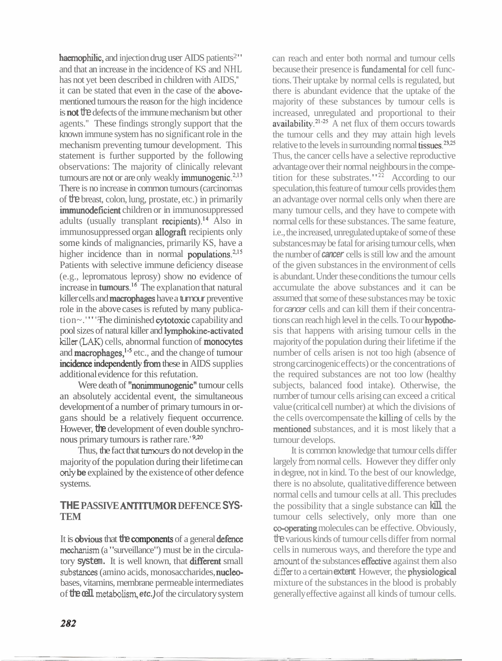haemophilic, and injection drug user AIDS patients<sup>2</sup>" and that an increase in the incidence of KS and NHL has not yet been described in children with AIDS." it can be stated that even in the case of the abovementioned tumours the reason for the high incidence is **not** the defects of the immune mechanism but other agents.'' These findings strongly support that the known immune system has no significant role in the mechanism preventing tumour development. This statement is further supported by the following observations: The majority of clinically relevant tumours are not or are only weakly immunogenic. $2,13$ There is no increase in common tumours (carcinomas of the breast, colon, lung, prostate, etc.) in primarily immunodeficient children or in immunosuppressed adults (usually transplant recipients).<sup>14</sup> Also in immunosuppressed organ **allograft** recipients only some kinds of malignancies, primarily KS, have a higher incidence than in normal **populations**. $2,15$ Patients with selective immune deficiency disease (e.g., lepromatous leprosy) show no evidence of increase in **tumours**.<sup>16</sup> The explanation that natural killer cells and **macrophages** have a tumour preventive role in the above cases is refuted by many publication~.'"' The diminished **cytotoxic** capability and pool sizes of natural killer and lymphokine-activated **killer (LAK)** cells, abnormal function of monocytes and **macrophages**,<sup>1-5</sup> etc., and the change of tumour incidence independently from these in AIDS supplies additional evidence for this refutation.

Were death of "nonimmunogenic" tumour cells an absolutely accidental event, the simultaneous development of a number of primary tumours in organs should be a relatively fiequent occurrence. However, **the** development of even double synchronous primary tumours is rather rare.<sup>'9,20</sup>

Thus, the fact that tumours do not develop in the majority of the population during their lifetime can only **be** explained by the existence of other defence systems.

## **THE PASSIVE ANTITUMOR DEFENCE SYS-TEM**

It is **obvious** that the **components** of a general defence **mechanism** (a "surveillance") must be in the circulatory **system.** It is well known, that different small substances (amino acids, monosaccharides, nucleobases, vitamins, membrane permeable intermediates of **the cell** metabolism, **etc.**) of the circulatory system

can reach and enter both normal and tumour cells because their presence is **fundamental** for cell functions. Their uptake by normal cells is regulated, but there is abundant evidence that the uptake of the majority of these substances by tumour cells is increased, unregulated and proportional to their  $a$ vailability.<sup>21-25</sup> A net flux of them occurs towards the tumour cells and they may attain high levels relative to the levels in surrounding normal tissues.<sup>23,25</sup> Thus, the cancer cells have a selective reproductive advantage over their normal neighbours in the competition for these substrates." $22$  According to our speculation, this feature of tumour cells provides **them**  an advantage over normal cells only when there are many tumour cells, and they have to compete with normal cells for these substances. The same feature, i.e., the increased, unregulated uptake of some of these substances may be fatal for arising tumour cells, when the number of **cancer** cells is still low and the amount of the given substances in the environment of cells is abundant. Under these conditions the tumour cells accumulate the above substances and it can be assumed that some of these substances may be toxic for cancer cells and can kill them if their concentrations can reach high level in the cells. To our hypothesis that happens with arising tumour cells in the majority of the population during their lifetime if the number of cells arisen is not too high (absence of strong carcinogenic effects) or the concentrations of the required substances are not too low (healthy subjects, balanced food intake). Otherwise, the number of tumour cells arising can exceed a critical value (critical cell number) at which the divisions of the cells overcompensate the killing of cells by the mentioned substances, and it is most likely that a tumour develops.

It is common knowledge that tumour cells differ largely from normal cells. However they differ only in degree, not in kind. To the best of our knowledge, there is no absolute, qualitative difference between normal cells and tumour cells at all. This precludes the possibility that a single substance can **kill** the tumour cells selectively, only more than one co-operating molecules can be effective. Obviously, the various kinds of tumour cells differ from normal cells in numerous ways, and therefore the type and amount of the substances **effective** against them also differ to a certain extent However, the physiological mixture of the substances in the blood is probably generally effective against all kinds of tumour cells.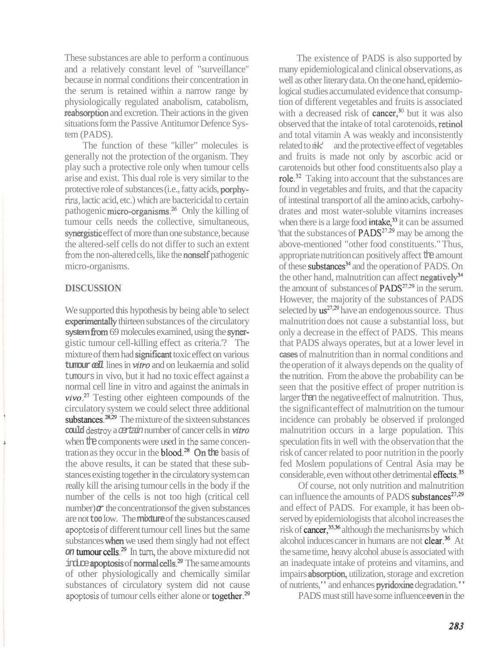These substances are able to perform a continuous and a relatively constant level of "surveillance" because in normal conditions their concentration in the serum is retained within a narrow range by physiologically regulated anabolism, catabolism, reabsorption and excretion. Their actions in the given situations form the Passive Antitumor Defence System (PADS).

The function of these "killer" molecules is generally not the protection of the organism. They play such a protective role only when tumour cells arise and exist. This dual role is very similar to the protective role of substances (i.e., fatty acids, porphy**rins,** lactic acid, etc.) which are bactericidal to certain pathogenic micro-organisms.<sup>26</sup> Only the killing of tumour cells needs the collective, simultaneous, synergistic effect of more than one substance, because the altered-self cells do not differ to such an extent from the non-altered cells, like the **nonself** pathogenic micro-organisms.

## **DISCUSSION**

We supported this hypothesis by being able 'to select experimentally thirteen substances of the circulatory **system from** 69 molecules examined, using the synergistic tumour cell-killing effect as criteria.'? The mixture of them had significant toxic effect on various **tumour cell** lines in **vitro** and on leukaemia and solid tumours in vivo, but it had no toxic effect against a normal cell line in vitro and against the animals in  $vivo.<sup>27</sup>$  Testing other eighteen compounds of the circulatory system we could select three additional substances. $28,29$  The mixture of the sixteen substances could destroy a certain number of cancer cells in vitro when the components were used in the same concentration as they occur in the blood.28 On **the** basis of the above results, it can be stated that these substances existing together in the circulatory system can really kill the arising tumour cells in the body if the number of the cells is not too high (critical cell number) $\alpha$  the concentrations of the given substances are not **too** low. The **mixture** of the substances caused **apoptosis** of different tumour cell lines but the same substances when we used them singly had not effect **on tumour cells.**<sup>29</sup> In turn, the above mixture did not  $intc$ **e apoptosis** of **normal cells.**<sup>29</sup> The same amounts of other physiologically and chemically similar substances of circulatory system did not cause apoptosis of tumour cells either alone or **together**.<sup>29</sup>

The existence of PADS is also supported by many epidemiological and clinical observations, as well as other literary data. On the one hand, epidemiological studies accumulated evidence that consumption of different vegetables and fruits is associated with a decreased risk of cancer,<sup>30</sup> but it was also observed that the intake of total carotenoids, retinol and total vitamin A was weakly and inconsistently related to risk:' and the protective effect of vegetables and fruits is made not only by ascorbic acid or carotenoids but other food constituents also play a role.32 Taking into account that the substances are found in vegetables and fruits, and that the capacity of intestinal transport of all the amino acids, carbohydrates and most water-soluble vitamins increases when there is a large food intake, $33$  it can be assumed 'that the substances of  $PADS<sup>27,29</sup>$  may be among the above-mentioned "other food constituents." Thus, appropriate nutrition can positively affect the amount of these substances<sup>34</sup> and the operation of PADS. On the other hand, malnutrition can affect negatively<sup>34</sup> the amount of substances of  $PADS<sup>27,29</sup>$  in the serum. However, the majority of the substances of PADS selected by  $\text{us}^{27,29}$  have an endogenous source. Thus malnutrition does not cause a substantial loss, but only a decrease in the effect of PADS. This means that PADS always operates, but at a lower level in **cases** of malnutrition than in normal conditions and the operation of it always depends on the quality of the nutrition. From the above the probability can be seen that the positive effect of proper nutrition is larger than the negative effect of malnutrition. Thus, the significant effect of malnutrition on the tumour incidence can probably be observed if prolonged malnutrition occurs in a large population. This speculation fits in well with the observation that the risk of cancer related to poor nutrition in the poorly fed Moslem populations of Central Asia may be considerable, even without other detrimental effects.<sup>35</sup>

Of course, not only nutrition and malnutrition can influence the amounts of PADS substances $^{27,29}$ and effect of PADS. For example, it has been observed by epidemiologists that alcohol increases the risk of  $cancer$ ,<sup>35,36</sup> although the mechanisms by which alcohol induces cancer in humans are not **clear**.<sup>36</sup> At the same time, heavy alcohol abuse is associated with an inadequate intake of proteins and vitamins, and impairs absorption, utilization, storage and excretion of nutrients," and enhances pyridoxine degradation."

PADS must still have some influence **even** in the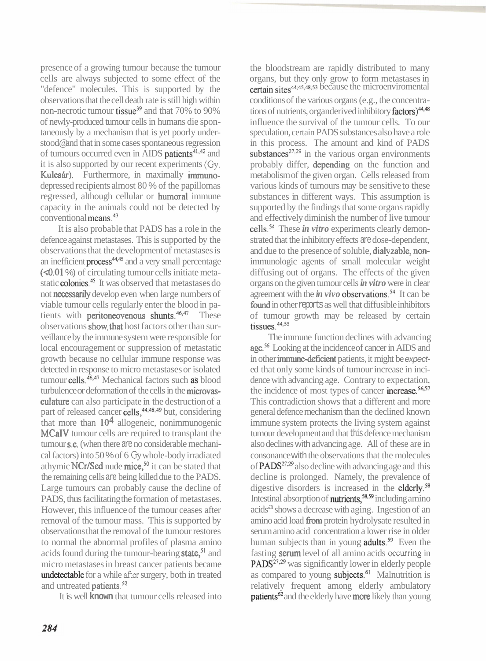presence of a growing tumour because the tumour cells are always subjected to some effect of the "defence" molecules. This is supported by the observations that the cell death rate is still high within non-necrotic tumour tissue<sup>39</sup> and that 70% to 90% of newly-produced tumour cells in humans die spontaneously by a mechanism that is yet poorly understood@ and that in some cases spontaneous regression of tumours occurred even in AIDS patients<sup>41,42</sup> and it is also supported by our recent experiments **(Gy.**  Kulcsár). Furthermore, in maximally immunodepressed recipients almost 80 % of the papillomas regressed, although cellular or humoral immune capacity in the animals could not be detected by conventional means.43

It is also probable that PADS has a role in the defence against rnetastases. This is supported by the observations that the development of metastases is an inefficient  $process^{44,45}$  and a very small percentage (<0.01 %) of circulating tumour cells initiate metastatic **colonies**.<sup>45</sup> It was observed that metastases do not necessarily develop even when large numbers of viable tumour cells regularly enter the blood in patients with **peritoneovenous** shunts.<sup>46,47</sup> These observations show, that host factors other than surveillance by the immune system were responsible for local encouragement or suppression of metastatic growth because no cellular immune response was detected in response to micro metastases or isolated tumour cells. $46,47$  Mechanical factors such as blood turbulence or deformation of the cells in the microvasculature can also participate in the destruction of a part of released cancer cells,<sup>44,48,49</sup> but, considering that more than  $10<sup>4</sup>$  allogeneic, nonimmunogenic MCaIV tumour cells are required to transplant the tumour s.c. (when there are no considerable mechanical factors) into 50 % of 6 **Gy** whole-body irradiated athymic  $NCr/Sed$  nude mice,<sup>50</sup> it can be stated that the remaining cells are being killed due to the PADS. Large tumours can probably cause the decline of PADS, thus facilitating the formation of metastases. However, this influence of the tumour ceases after removal of the tumour mass. This is supported by observations that the removal of the tumour restores to normal the abnormal profiles of plasma amino acids found during the tumour-bearing state,<sup>51</sup> and micro metastases in breast cancer patients became undetectable for a while after surgery, both in treated and untreated **patients**.<sup>52</sup>

It is well **known** that tumour cells released into

the bloodstream are rapidly distributed to many organs, but they only grow to form metastases in certain sites<sup>44,45,48,53</sup> because the microenviromental

conditions of the various organs (e.g., the concentrations of nutrients, organderived inhibitory factors)<sup>44,48</sup> influence the survival of the tumour cells. To our speculation, certain PADS substances also have a role in this process. The amount and kind of PADS substances<sup> $27,29$ </sup> in the various organ environments probably differ, depending on the function and metabolism of the given organ. Cells released from various kinds of tumours may be sensitive to these substances in different ways. This assumption is supported by the findings that some organs rapidly and effectively diminish the number of live tumour cells.54 These *in vitro* experiments clearly demonstrated that the inhibitory effects are dose-dependent, and due to the presence of soluble, dialyzable, nonimmunologic agents of small molecular weight diffusing out of organs. The effects of the given organs on the given tumour cells *in vitro* were in clear agreement with the  $\dot{m}$  vivo observations.<sup>54</sup> It can be found in other reports as well that diffusible inhibitors of tumour growth may be released by certain tissues. $44,55$ 

The immune function declines with advancing age.<sup>56</sup> Looking at the incidence of cancer in AIDS and in other **immune-deficient** patients, it might be expected that only some kinds of tumour increase in incidence with advancing age. Contrary to expectation, the incidence of most types of cancer increase.<sup>56,57</sup> This contradiction shows that a different and more general defence mechanism than the declined known immune system protects the living system against tumour development and that this defence mechanism also declines with advancing age. All of these are in consonance with the observations that the molecules of  $PADS<sup>27,29</sup>$  also decline with advancing age and this decline is prolonged. Namely, the prevalence of digestive disorders is increased in the elderly. $58$ Intestinal absorption of **nutrients**, $^{58,59}$  including amino  $\alpha$  acids<sup>a</sup> shows a decrease with aging. Ingestion of an amino acid load fiom protein hydrolysate resulted in serum amino acid concentration a lower rise in older human subjects than in young **adults**.<sup>59</sup> Even the fasting serum level of all amino acids **occurring** in PADS<sup>27,29</sup> was significantly lower in elderly people as compared to young subjects. $61$  Malnutrition is relatively frequent among elderly ambulatory patients<sup>62</sup> and the elderly have more likely than young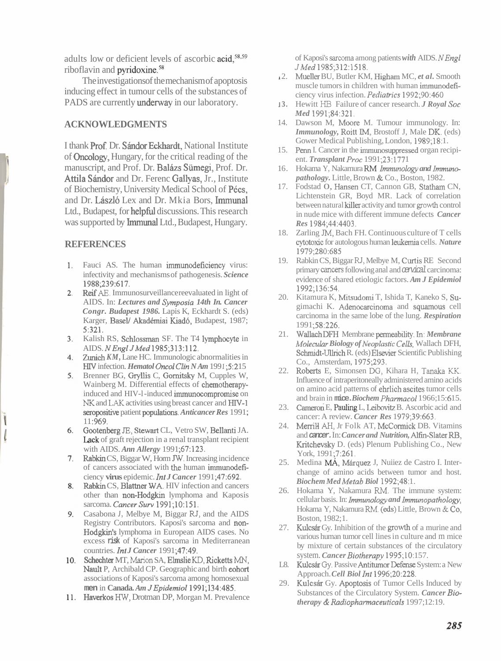adults low or deficient levels of ascorbic  $acid$ , $58,59$ riboflavin and pyridoxine.<sup>58</sup>

The investigations of the mechanism of apoptosis inducing effect in tumour cells of the substances of PADS are currently underway in our laboratory.

## **ACKNOWLEDGMENTS**

I thank Prof. Dr. Sándor Eckhardt, National Institute of Ontology, Hungary, for the critical reading of the manuscript, and Prof. Dr. Balázs Sümegi, Prof. Dr. Attila Sándor and Dr. Ferenc Gallyas, Jr., Institute of Biochemistry, University Medical School of Pécs, and Dr. László Lex and Dr. Mkia Bors, Immunal Ltd., Budapest, for **helpful** discussions. This research was supported by **Immunal** Ltd., Budapest, Hungary.

## **REFERENCES**

- 1. Fauci AS. The human immunodeficiency virus: infectivity and mechanisms of pathogenesis. *Science*  1988;239:617.
- Reif **AE.** Immunosurveillance reevaluated in light of AIDS. In: *Lectures and Symposia 14th In. Cancer Congr. Budapest 1986.* Lapis K, Eckhardt S. (eds) Karger, Basel/ Akadémiai Kiadó, Budapest, 1987; 5:321.
- 3. Kalish RS, Schlossman SF. The T4 lymphocyte in AIDS. *NEnglJMed* 1985;313:112.
- 4. Zunich *KM*, Lane HC. Immunologic abnormalities in HIV infection. *Hematol Oncol Clin N Am* 1991;5:215
- 5. Brenner BG, Gryllis C, Gornitsky M, Cupples W, Wainberg M. Differential effects of chernotherapyinduced and HIV-l -induced immunocompromise on **NK** and **LAK** activities using breast cancer and HIV-l seropositive patient populations. *Anticancer Res* <sup>1991</sup>; 11:969.
- Gootenberg JE, Stewart CL, Vetro SW, Bellanti JA. 6. Lack of graft rejection in a renal transplant recipient with AIDS. *Ann Allergy* 1991 ;67:123.
- Rabkin CS, Biggar W, Horm **JW.** Increasing incidence of cancers associated with the human immunodeficiency **virus** epidemic. *Int J Cancer* 1991 ;47:692.
- Rabkin CS, Blattner WA. HIV infection and cancers 8. other than **non-Hodgkin** lymphoma and Kaposis sarcoma. *CancerSurv* 1991;10:151.
- Casabona *J,* Melbye M, Biggar RJ, and the AIDS Registry Contributors. Kaposi's sarcoma and non-Hodgkin's lymphoma in European AIDS cases. No excess **risk** of Kaposi's sarcoma in Mediterranean countries. *Int J Cancer* 1 991 ;47:49.
- Schechter MT, **Marion** SA, Elmslie **KD,** Ricketts **MN,**  Nault P, Archibald CP. Geographic and birth eohort associations of Kaposi's sarcoma among homosexual **men** in **Canada.** *Am JEpidemiol1991* ;l 34:485.
- 11. Haverkos HW, Drotman DP, Morgan M. Prevalence

of Kaposi's **sarcoma** among patients *with* AIDS. *NEngl JMed* 1985;312:1518.

- 2. Mueller BU, Butler KM, Higham MC, *et al.* Smooth muscle tumors in children with human immunodeficiency virus infection. *Pediatrics* 1992;90:460
- **I 3.** Hewitt HB Failure of cancer research. *J Royal Soc Med* 1991;84:321.
- 14. Dawson M, Moore M. Tumour immunology. In: *Immunology,* Roitt IM, Brostoff J, Male DK. (eds) Gower Medical Publishing, London, 1989;18:1.
- 15. Penn I. Cancer in the immunosuppressed organ recipient. *Transplant Proc* 1991;23:1771
- 16. Hokama Y, Nakamura RM *Immunology and Immunopathology.* Little, Brown & Co., Boston, 1982.
- 17. Fodstad 0, Hansen CT, Cannon GB, Statham CN, Lichtenstein GR, Boyd MR. Lack of correlation between natural killer activity and tumor growth control in nude mice with different immune defects *Cancer Res* 1984;44:4403.
- 18. Zarling JM, Bach FH. Continuous culture of T cells cytotoxic for autologous human leukemia cells. *Nature*  1979;280:685
- 19. Rabkin CS, Biggar RJ, Melbye M, Curtis RE Second primary cancers following anal and cervical carcinoma: evidence of shared etiologic factors. *Am J Epidemiol*  1992,136:54.
- 20. Kitamura K, Mitsudomi T, Ishida T, Kaneko S, Sugimachi K. Adenocarcinoma and squamous cell carcinoma in the same lobe of the lung. *Respiration*  1991 ;58:226.
- 2 1. Wallach DFH Membrane perrneabdity. **In.** *Membrane Molecular Biology of Neoplastic Celk;,* Wallach DFH, Schmidt-Ullrich R. (eds) Elsevier Scientific Publishing Co., Amsterdam, 1975;293.
- 22. Roberts E, Simonsen DG, Kihara H, **Tanaka** KK. Influence of intraperitoneally administered amino acids on amino acid patterns of ehrlich ascites tumor cells and brain in mice. Biochem Pharmacol 1966; 15:615.
- 23. Cameron E, Pauling L, Leibovitz B. Ascorbic acid and cancer: A review. *Cancer Res* 1979;39:663.
- 24. MerriH **AH,** Jr Folk AT, McCormick DB. Vitamins and **cancer.** In: *Cancer and Nutrition,* Alfin-Slater RB, Kritchevsky D. (eds) Plenum Publishing Co., New York, 1991;7:261.
- 25. Medina MÁ, Márquez J, Nuiiez de Castro I. Interchange of amino acids between tumor and host. *Biochem Med Metab Biol* 1992;48: 1.
- 26. Hokama Y, Nakamura RM. The immune system: cellular basis. In: *Immunology and Immunopathology*, Hokama Y, Nakamura RM. (eds) Little, Brown & CO, Boston, 1982;1.
- 27. Kulcsár Gy. Inhibition of the growth of a murine and various human tumor cell lines in culture and m mice by mixture of certain substances of the circulatory system. *Cancer Biotherapy* 1995;10:157.
- L8. Kulcsár Gy. Passive Antitumor Defense System: a New Approach. *Cell Biol Int* 1996;20:228.
- 29. Kulcsir Gy. Apoptosis of Tumor Cells Induced by Substances of the Circulatory System. *Cancer Biotherapy* & *Radiopharmaceuticals* 1997; 12: 19.